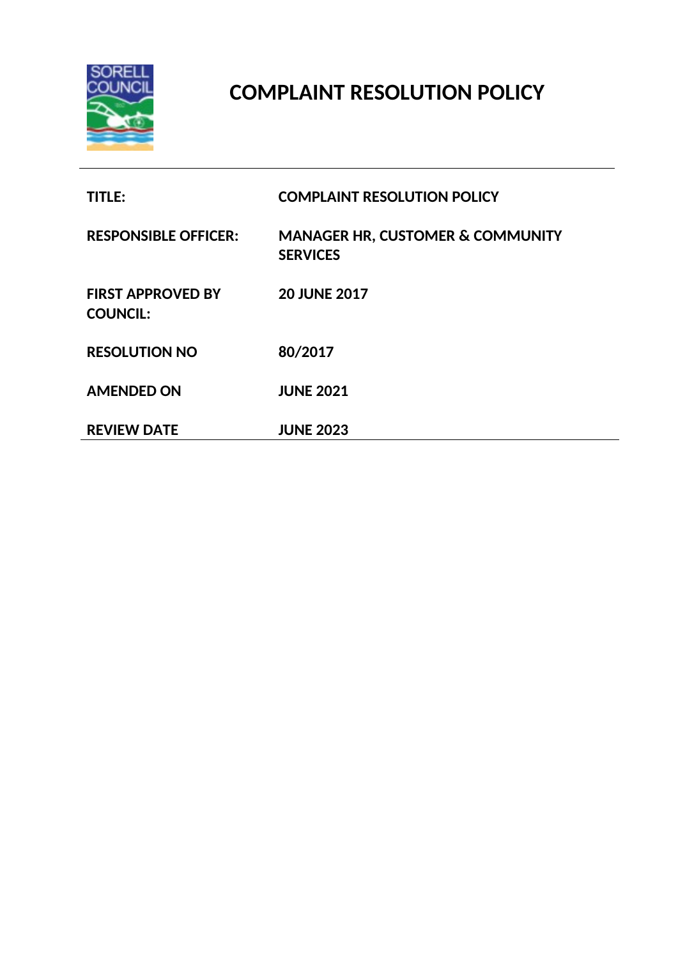

# **COMPLAINT RESOLUTION POLICY**

| <b>TITLE:</b>                               | <b>COMPLAINT RESOLUTION POLICY</b>                             |
|---------------------------------------------|----------------------------------------------------------------|
| <b>RESPONSIBLE OFFICER:</b>                 | <b>MANAGER HR, CUSTOMER &amp; COMMUNITY</b><br><b>SERVICES</b> |
| <b>FIRST APPROVED BY</b><br><b>COUNCIL:</b> | <b>20 JUNE 2017</b>                                            |
| <b>RESOLUTION NO</b>                        | 80/2017                                                        |
| <b>AMENDED ON</b>                           | <b>JUNE 2021</b>                                               |
| <b>REVIEW DATE</b>                          | <b>JUNE 2023</b>                                               |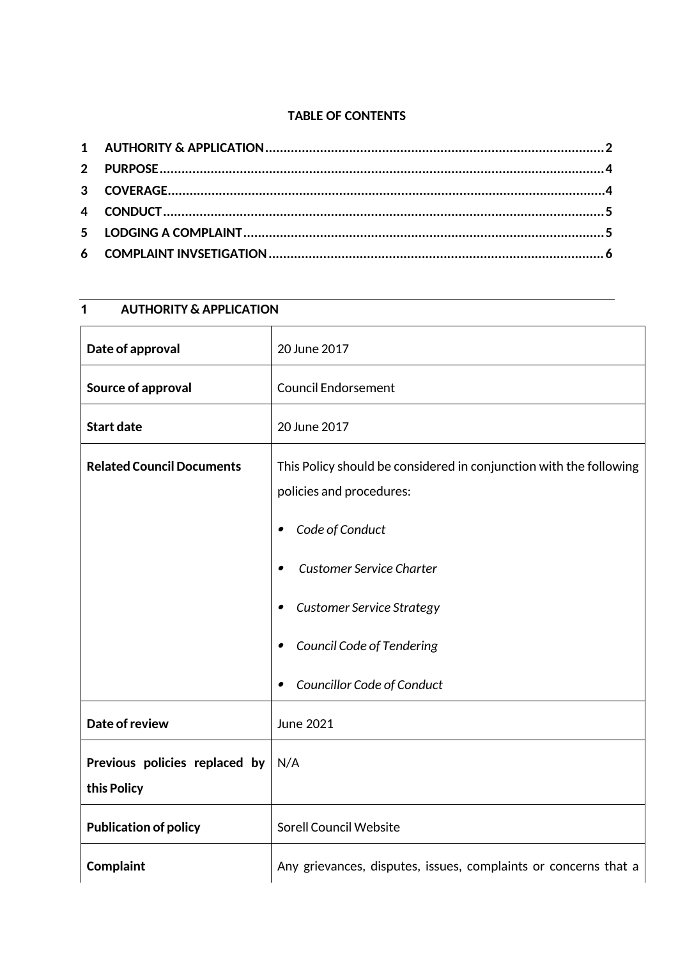### **TABLE OF CONTENTS**

# **1 AUTHORITY & APPLICATION**

| Date of approval                             | 20 June 2017                                                                                   |
|----------------------------------------------|------------------------------------------------------------------------------------------------|
| Source of approval                           | <b>Council Endorsement</b>                                                                     |
| <b>Start date</b>                            | 20 June 2017                                                                                   |
| <b>Related Council Documents</b>             | This Policy should be considered in conjunction with the following<br>policies and procedures: |
|                                              | Code of Conduct<br>$\bullet$                                                                   |
|                                              | Customer Service Charter<br>$\bullet$                                                          |
|                                              | <b>Customer Service Strategy</b><br>$\bullet$                                                  |
|                                              | Council Code of Tendering<br>$\bullet$                                                         |
|                                              | Councillor Code of Conduct<br>$\bullet$                                                        |
| Date of review                               | <b>June 2021</b>                                                                               |
| Previous policies replaced by<br>this Policy | N/A                                                                                            |
| <b>Publication of policy</b>                 | Sorell Council Website                                                                         |
| <b>Complaint</b>                             | Any grievances, disputes, issues, complaints or concerns that a                                |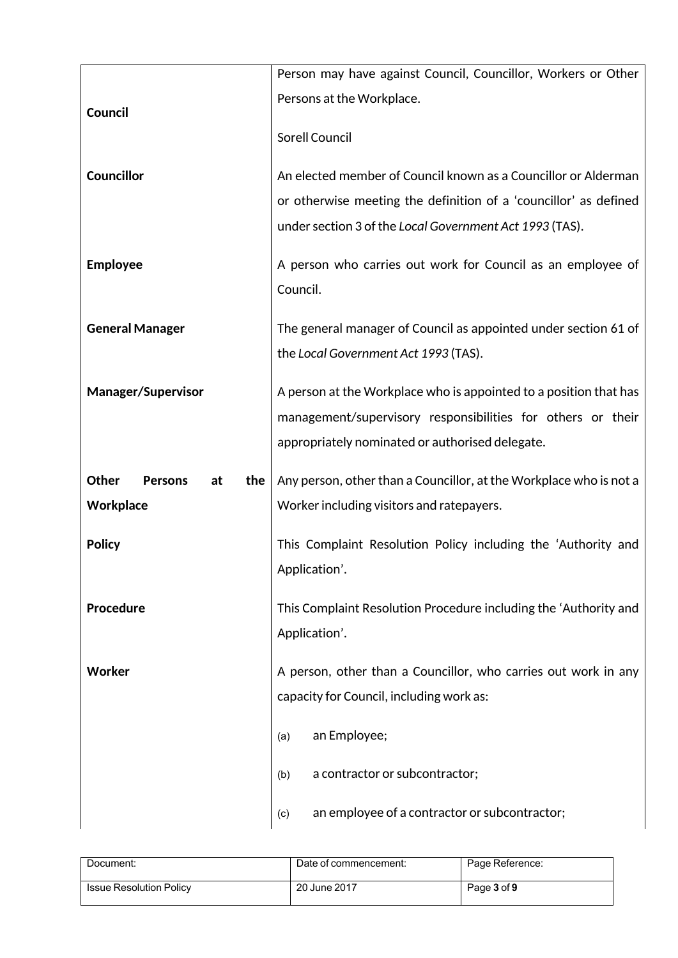|                                      | Person may have against Council, Councillor, Workers or Other      |
|--------------------------------------|--------------------------------------------------------------------|
|                                      | Persons at the Workplace.                                          |
| Council                              |                                                                    |
|                                      | <b>Sorell Council</b>                                              |
| Councillor                           | An elected member of Council known as a Councillor or Alderman     |
|                                      | or otherwise meeting the definition of a 'councillor' as defined   |
|                                      | under section 3 of the Local Government Act 1993 (TAS).            |
|                                      |                                                                    |
| <b>Employee</b>                      | A person who carries out work for Council as an employee of        |
|                                      | Council.                                                           |
| <b>General Manager</b>               | The general manager of Council as appointed under section 61 of    |
|                                      | the Local Government Act 1993 (TAS).                               |
|                                      |                                                                    |
| <b>Manager/Supervisor</b>            | A person at the Workplace who is appointed to a position that has  |
|                                      | management/supervisory responsibilities for others or their        |
|                                      | appropriately nominated or authorised delegate.                    |
| Other<br><b>Persons</b><br>at<br>the | Any person, other than a Councillor, at the Workplace who is not a |
| <b>Workplace</b>                     | Worker including visitors and ratepayers.                          |
|                                      |                                                                    |
|                                      |                                                                    |
| <b>Policy</b>                        | This Complaint Resolution Policy including the 'Authority and      |
|                                      | Application'.                                                      |
| Procedure                            | This Complaint Resolution Procedure including the 'Authority and   |
|                                      | Application'.                                                      |
|                                      |                                                                    |
| Worker                               | A person, other than a Councillor, who carries out work in any     |
|                                      | capacity for Council, including work as:                           |
|                                      | an Employee;<br>(a)                                                |
|                                      | a contractor or subcontractor;<br>(b)                              |

| Document:                      | Date of commencement: | Page Reference: |
|--------------------------------|-----------------------|-----------------|
| <b>Issue Resolution Policy</b> | 20 June 2017          | Page 3 of 9     |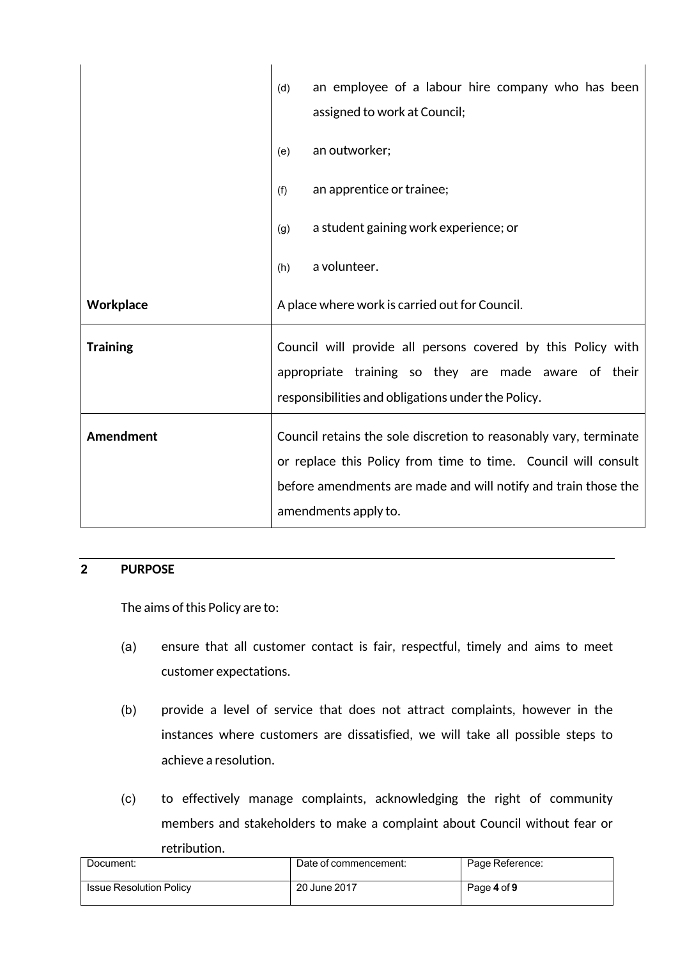|                 | an employee of a labour hire company who has been<br>(d)<br>assigned to work at Council;                                                                                                                                      |  |
|-----------------|-------------------------------------------------------------------------------------------------------------------------------------------------------------------------------------------------------------------------------|--|
|                 | an outworker;<br>(e)                                                                                                                                                                                                          |  |
|                 | an apprentice or trainee;<br>(f)                                                                                                                                                                                              |  |
|                 | a student gaining work experience; or<br>(g)                                                                                                                                                                                  |  |
|                 | a volunteer.<br>(h)                                                                                                                                                                                                           |  |
| Workplace       | A place where work is carried out for Council.                                                                                                                                                                                |  |
| <b>Training</b> | Council will provide all persons covered by this Policy with<br>appropriate training so they are made aware of their<br>responsibilities and obligations under the Policy.                                                    |  |
| Amendment       | Council retains the sole discretion to reasonably vary, terminate<br>or replace this Policy from time to time. Council will consult<br>before amendments are made and will notify and train those the<br>amendments apply to. |  |

## **2 PURPOSE**

The aims of this Policy are to:

- (a) ensure that all customer contact is fair, respectful, timely and aims to meet customer expectations.
- (b) provide a level of service that does not attract complaints, however in the instances where customers are dissatisfied, we will take all possible steps to achieve a resolution.
- (c) to effectively manage complaints, acknowledging the right of community members and stakeholders to make a complaint about Council without fear or retribution.

| Document:                      | Date of commencement: | Page Reference: |
|--------------------------------|-----------------------|-----------------|
| <b>Issue Resolution Policy</b> | 20 June 2017          | Page 4 of 9     |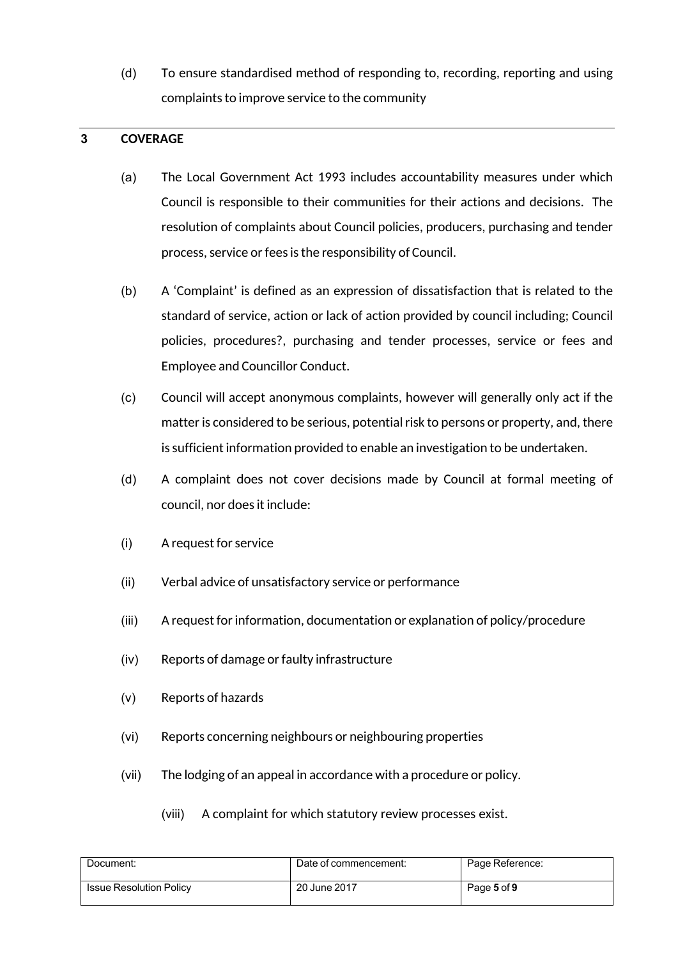(d) To ensure standardised method of responding to, recording, reporting and using complaints to improve service to the community

#### **3 COVERAGE**

- (a) The Local Government Act 1993 includes accountability measures under which Council is responsible to their communities for their actions and decisions. The resolution of complaints about Council policies, producers, purchasing and tender process, service or fees is the responsibility of Council.
- (b) A 'Complaint' is defined as an expression of dissatisfaction that is related to the standard of service, action or lack of action provided by council including; Council policies, procedures?, purchasing and tender processes, service or fees and Employee and Councillor Conduct.
- (c) Council will accept anonymous complaints, however will generally only act if the matter is considered to be serious, potential risk to persons or property, and, there is sufficient information provided to enable an investigation to be undertaken.
- (d) A complaint does not cover decisions made by Council at formal meeting of council, nor does it include:
- (i) A request for service
- (ii) Verbal advice of unsatisfactory service or performance
- (iii) A request for information, documentation or explanation of policy/procedure
- (iv) Reports of damage or faulty infrastructure
- (v) Reports of hazards
- (vi) Reports concerning neighbours or neighbouring properties
- (vii) The lodging of an appeal in accordance with a procedure or policy.
	- (viii) A complaint for which statutory review processes exist.

| Document:                      | Date of commencement: | Page Reference: |
|--------------------------------|-----------------------|-----------------|
| <b>Issue Resolution Policy</b> | 20 June 2017          | Page 5 of 9     |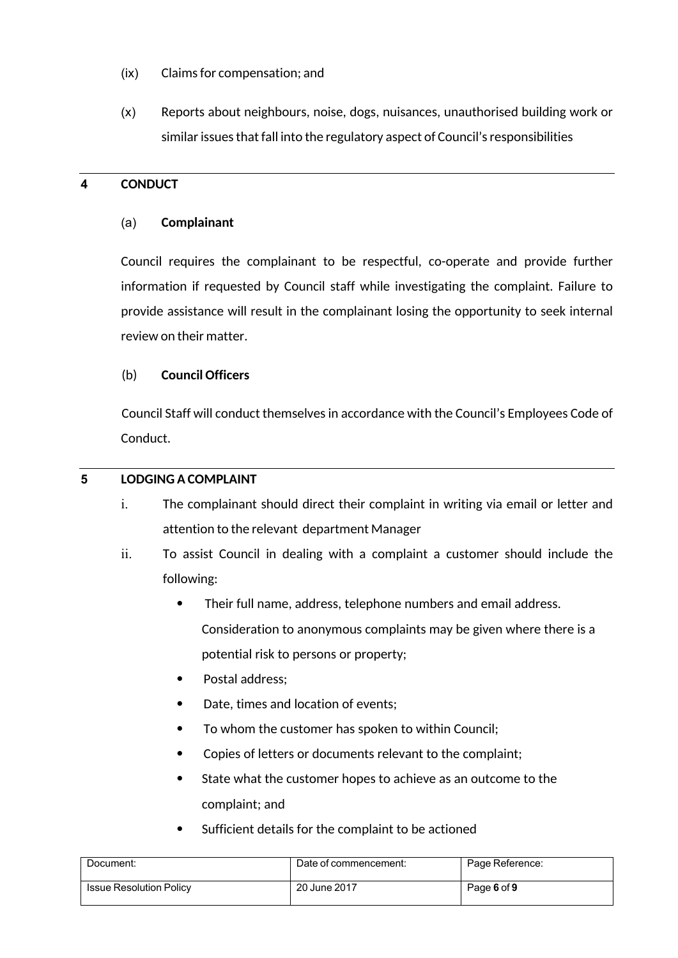- (ix) Claims for compensation; and
- (x) Reports about neighbours, noise, dogs, nuisances, unauthorised building work or similar issues that fall into the regulatory aspect of Council's responsibilities

#### **4 CONDUCT**

#### (a) **Complainant**

Council requires the complainant to be respectful, co-operate and provide further information if requested by Council staff while investigating the complaint. Failure to provide assistance will result in the complainant losing the opportunity to seek internal review on their matter.

#### (b) **Council Officers**

Council Staff will conduct themselves in accordance with the Council's Employees Code of Conduct.

#### **5 LODGING A COMPLAINT**

- i. The complainant should direct their complaint in writing via email or letter and attention to the relevant department Manager
- ii. To assist Council in dealing with a complaint a customer should include the following:
	- Their full name, address, telephone numbers and email address. Consideration to anonymous complaints may be given where there is a potential risk to persons or property;
	- Postal address;
	- Date, times and location of events;
	- To whom the customer has spoken to within Council;
	- Copies of letters or documents relevant to the complaint;
	- State what the customer hopes to achieve as an outcome to the complaint; and
	- Sufficient details for the complaint to be actioned

| Document:                      | Date of commencement: | Page Reference: |
|--------------------------------|-----------------------|-----------------|
| <b>Issue Resolution Policy</b> | 20 June 2017          | Page 6 of 9     |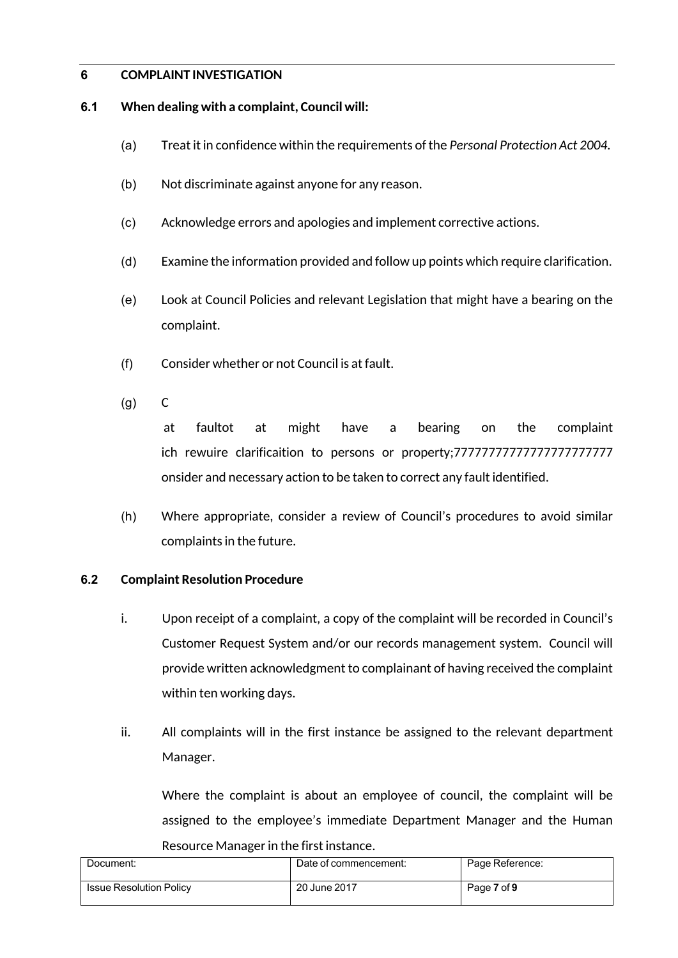#### **6 COMPLAINT INVESTIGATION**

#### **6.1 When dealing with a complaint, Council will:**

- (a) Treat it in confidence within the requirements of the *Personal Protection Act 2004.*
- (b) Not discriminate against anyone for any reason.
- (c) Acknowledge errors and apologies and implement corrective actions.
- (d) Examine the information provided and follow up points which require clarification.
- (e) Look at Council Policies and relevant Legislation that might have a bearing on the complaint.
- (f) Consider whether or not Council is at fault.
- (g) C

at faultot at might have a bearing on the complaint ich rewuire clarificaition to persons or property;77777777777777777777777 onsider and necessary action to be taken to correct any fault identified.

(h) Where appropriate, consider a review of Council's procedures to avoid similar complaints in the future.

#### **6.2 Complaint Resolution Procedure**

- i. Upon receipt of a complaint, a copy of the complaint will be recorded in Council's Customer Request System and/or our records management system. Council will provide written acknowledgment to complainant of having received the complaint within ten working days.
- ii. All complaints will in the first instance be assigned to the relevant department Manager.

Where the complaint is about an employee of council, the complaint will be assigned to the employee's immediate Department Manager and the Human Resource Manager in the first instance.

| Document:                      | Date of commencement: | Page Reference: |
|--------------------------------|-----------------------|-----------------|
| <b>Issue Resolution Policy</b> | 20 June 2017          | Page 7 of 9     |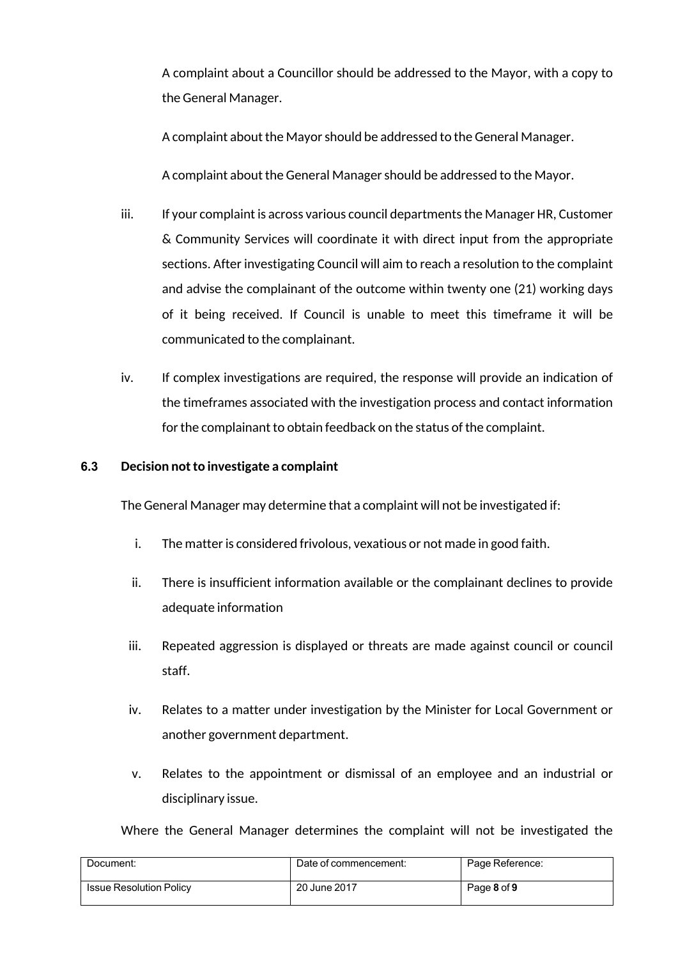A complaint about a Councillor should be addressed to the Mayor, with a copy to the General Manager.

A complaint about the Mayor should be addressed to the General Manager.

A complaint about the General Manager should be addressed to the Mayor.

- iii. If your complaint is across various council departments the Manager HR, Customer & Community Services will coordinate it with direct input from the appropriate sections. After investigating Council will aim to reach a resolution to the complaint and advise the complainant of the outcome within twenty one (21) working days of it being received. If Council is unable to meet this timeframe it will be communicated to the complainant.
- iv. If complex investigations are required, the response will provide an indication of the timeframes associated with the investigation process and contact information for the complainant to obtain feedback on the status of the complaint.

#### **6.3 Decision not to investigate a complaint**

The General Manager may determine that a complaint will not be investigated if:

- i. The matter is considered frivolous, vexatious or not made in good faith.
- ii. There is insufficient information available or the complainant declines to provide adequate information
- iii. Repeated aggression is displayed or threats are made against council or council staff.
- iv. Relates to a matter under investigation by the Minister for Local Government or another government department.
- v. Relates to the appointment or dismissal of an employee and an industrial or disciplinary issue.

Where the General Manager determines the complaint will not be investigated the

| Document:                      | Date of commencement: | Page Reference: |
|--------------------------------|-----------------------|-----------------|
| <b>Issue Resolution Policy</b> | 20 June 2017          | Page 8 of 9     |